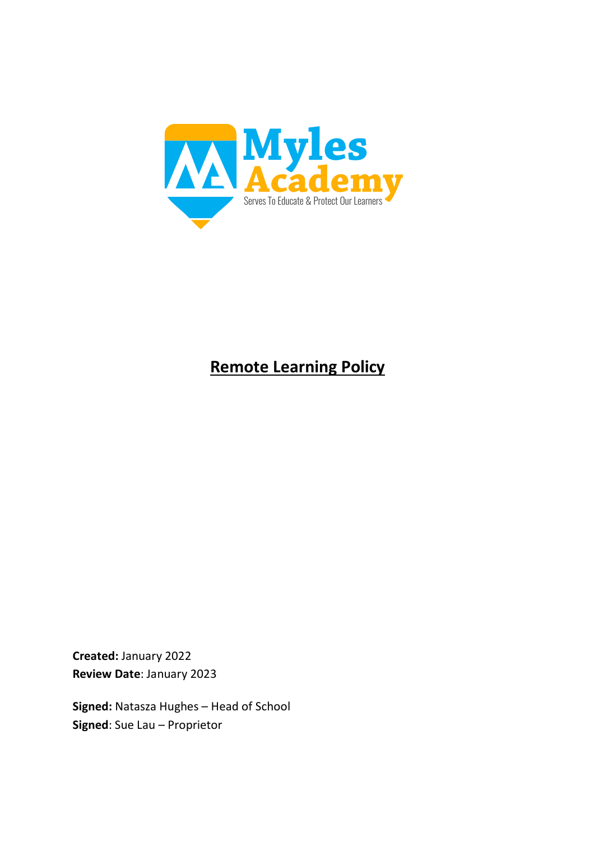

# **Remote Learning Policy**

**Created:** January 2022 **Review Date**: January 2023

**Signed:** Natasza Hughes – Head of School **Signed**: Sue Lau – Proprietor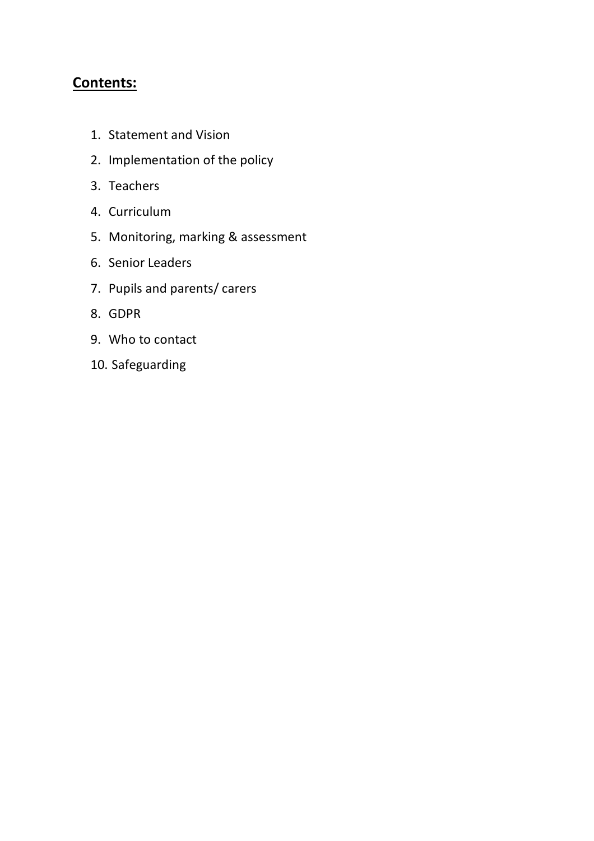## **Contents:**

- 1. Statement and Vision
- 2. Implementation of the policy
- 3. Teachers
- 4. Curriculum
- 5. Monitoring, marking & assessment
- 6. Senior Leaders
- 7. Pupils and parents/ carers
- 8. GDPR
- 9. Who to contact
- 10. Safeguarding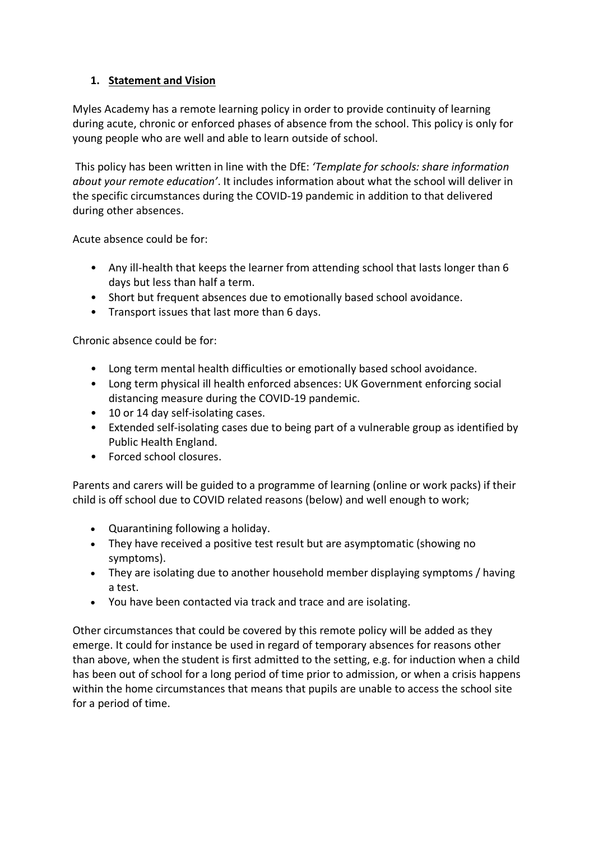#### **1. Statement and Vision**

Myles Academy has a remote learning policy in order to provide continuity of learning during acute, chronic or enforced phases of absence from the school. This policy is only for young people who are well and able to learn outside of school.

This policy has been written in line with the DfE: *'Template for schools: share information about your remote education'*. It includes information about what the school will deliver in the specific circumstances during the COVID-19 pandemic in addition to that delivered during other absences.

Acute absence could be for:

- Any ill-health that keeps the learner from attending school that lasts longer than 6 days but less than half a term.
- Short but frequent absences due to emotionally based school avoidance.
- Transport issues that last more than 6 days.

Chronic absence could be for:

- Long term mental health difficulties or emotionally based school avoidance.
- Long term physical ill health enforced absences: UK Government enforcing social distancing measure during the COVID-19 pandemic.
- 10 or 14 day self-isolating cases.
- Extended self-isolating cases due to being part of a vulnerable group as identified by Public Health England.
- Forced school closures.

Parents and carers will be guided to a programme of learning (online or work packs) if their child is off school due to COVID related reasons (below) and well enough to work;

- Quarantining following a holiday.
- They have received a positive test result but are asymptomatic (showing no symptoms).
- They are isolating due to another household member displaying symptoms / having a test.
- You have been contacted via track and trace and are isolating.

Other circumstances that could be covered by this remote policy will be added as they emerge. It could for instance be used in regard of temporary absences for reasons other than above, when the student is first admitted to the setting, e.g. for induction when a child has been out of school for a long period of time prior to admission, or when a crisis happens within the home circumstances that means that pupils are unable to access the school site for a period of time.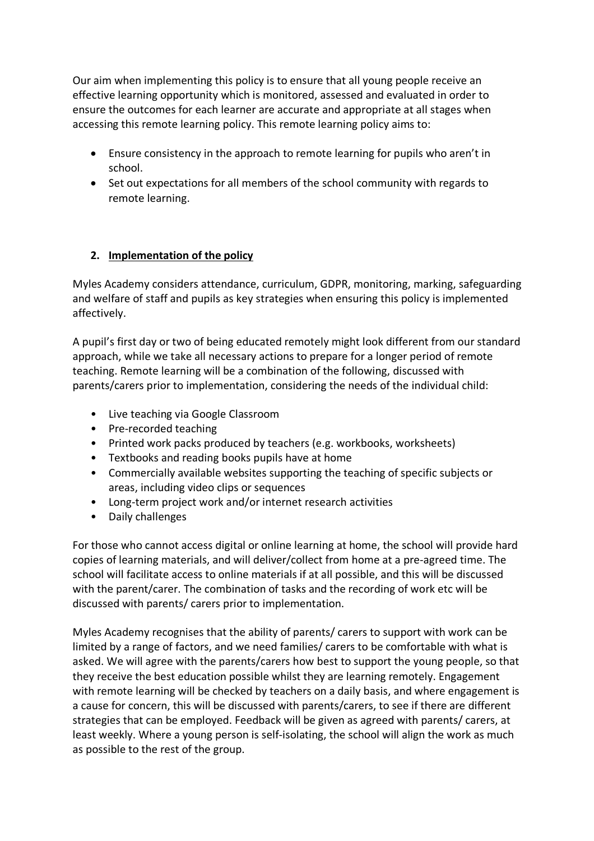Our aim when implementing this policy is to ensure that all young people receive an effective learning opportunity which is monitored, assessed and evaluated in order to ensure the outcomes for each learner are accurate and appropriate at all stages when accessing this remote learning policy. This remote learning policy aims to:

- Ensure consistency in the approach to remote learning for pupils who aren't in school.
- Set out expectations for all members of the school community with regards to remote learning.

#### **2. Implementation of the policy**

Myles Academy considers attendance, curriculum, GDPR, monitoring, marking, safeguarding and welfare of staff and pupils as key strategies when ensuring this policy is implemented affectively.

A pupil's first day or two of being educated remotely might look different from our standard approach, while we take all necessary actions to prepare for a longer period of remote teaching. Remote learning will be a combination of the following, discussed with parents/carers prior to implementation, considering the needs of the individual child:

- Live teaching via Google Classroom
- Pre-recorded teaching
- Printed work packs produced by teachers (e.g. workbooks, worksheets)
- Textbooks and reading books pupils have at home
- Commercially available websites supporting the teaching of specific subjects or areas, including video clips or sequences
- Long-term project work and/or internet research activities
- Daily challenges

For those who cannot access digital or online learning at home, the school will provide hard copies of learning materials, and will deliver/collect from home at a pre-agreed time. The school will facilitate access to online materials if at all possible, and this will be discussed with the parent/carer. The combination of tasks and the recording of work etc will be discussed with parents/ carers prior to implementation.

Myles Academy recognises that the ability of parents/ carers to support with work can be limited by a range of factors, and we need families/ carers to be comfortable with what is asked. We will agree with the parents/carers how best to support the young people, so that they receive the best education possible whilst they are learning remotely. Engagement with remote learning will be checked by teachers on a daily basis, and where engagement is a cause for concern, this will be discussed with parents/carers, to see if there are different strategies that can be employed. Feedback will be given as agreed with parents/ carers, at least weekly. Where a young person is self-isolating, the school will align the work as much as possible to the rest of the group.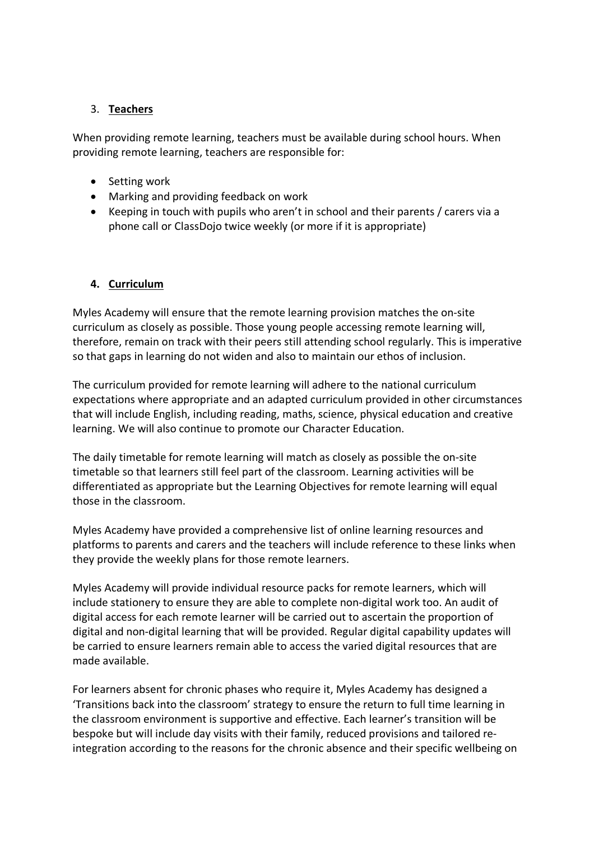#### 3. **Teachers**

When providing remote learning, teachers must be available during school hours. When providing remote learning, teachers are responsible for:

- Setting work
- Marking and providing feedback on work
- Keeping in touch with pupils who aren't in school and their parents / carers via a phone call or ClassDojo twice weekly (or more if it is appropriate)

#### **4. Curriculum**

Myles Academy will ensure that the remote learning provision matches the on-site curriculum as closely as possible. Those young people accessing remote learning will, therefore, remain on track with their peers still attending school regularly. This is imperative so that gaps in learning do not widen and also to maintain our ethos of inclusion.

The curriculum provided for remote learning will adhere to the national curriculum expectations where appropriate and an adapted curriculum provided in other circumstances that will include English, including reading, maths, science, physical education and creative learning. We will also continue to promote our Character Education.

The daily timetable for remote learning will match as closely as possible the on-site timetable so that learners still feel part of the classroom. Learning activities will be differentiated as appropriate but the Learning Objectives for remote learning will equal those in the classroom.

Myles Academy have provided a comprehensive list of online learning resources and platforms to parents and carers and the teachers will include reference to these links when they provide the weekly plans for those remote learners.

Myles Academy will provide individual resource packs for remote learners, which will include stationery to ensure they are able to complete non-digital work too. An audit of digital access for each remote learner will be carried out to ascertain the proportion of digital and non-digital learning that will be provided. Regular digital capability updates will be carried to ensure learners remain able to access the varied digital resources that are made available.

For learners absent for chronic phases who require it, Myles Academy has designed a 'Transitions back into the classroom' strategy to ensure the return to full time learning in the classroom environment is supportive and effective. Each learner's transition will be bespoke but will include day visits with their family, reduced provisions and tailored reintegration according to the reasons for the chronic absence and their specific wellbeing on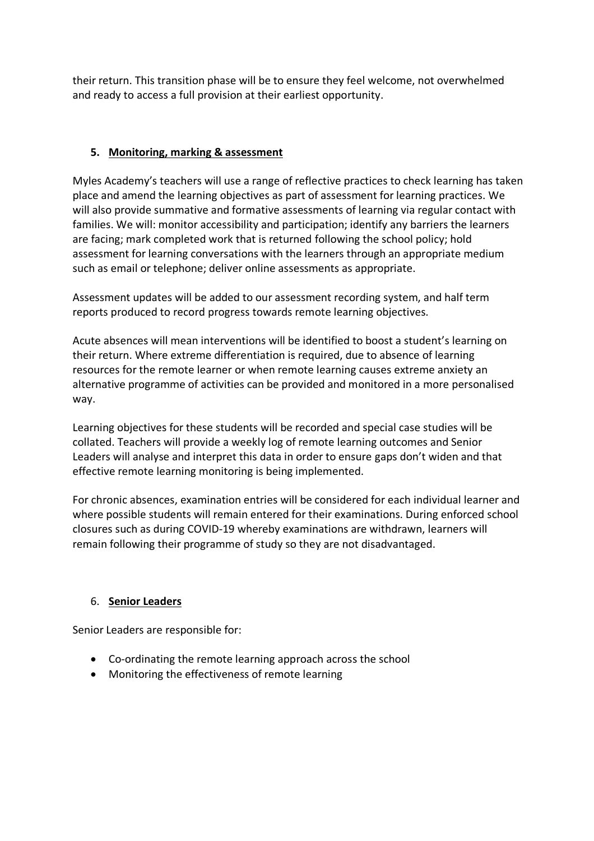their return. This transition phase will be to ensure they feel welcome, not overwhelmed and ready to access a full provision at their earliest opportunity.

#### **5. Monitoring, marking & assessment**

Myles Academy's teachers will use a range of reflective practices to check learning has taken place and amend the learning objectives as part of assessment for learning practices. We will also provide summative and formative assessments of learning via regular contact with families. We will: monitor accessibility and participation; identify any barriers the learners are facing; mark completed work that is returned following the school policy; hold assessment for learning conversations with the learners through an appropriate medium such as email or telephone; deliver online assessments as appropriate.

Assessment updates will be added to our assessment recording system, and half term reports produced to record progress towards remote learning objectives.

Acute absences will mean interventions will be identified to boost a student's learning on their return. Where extreme differentiation is required, due to absence of learning resources for the remote learner or when remote learning causes extreme anxiety an alternative programme of activities can be provided and monitored in a more personalised way.

Learning objectives for these students will be recorded and special case studies will be collated. Teachers will provide a weekly log of remote learning outcomes and Senior Leaders will analyse and interpret this data in order to ensure gaps don't widen and that effective remote learning monitoring is being implemented.

For chronic absences, examination entries will be considered for each individual learner and where possible students will remain entered for their examinations. During enforced school closures such as during COVID-19 whereby examinations are withdrawn, learners will remain following their programme of study so they are not disadvantaged.

### 6. **Senior Leaders**

Senior Leaders are responsible for:

- Co-ordinating the remote learning approach across the school
- Monitoring the effectiveness of remote learning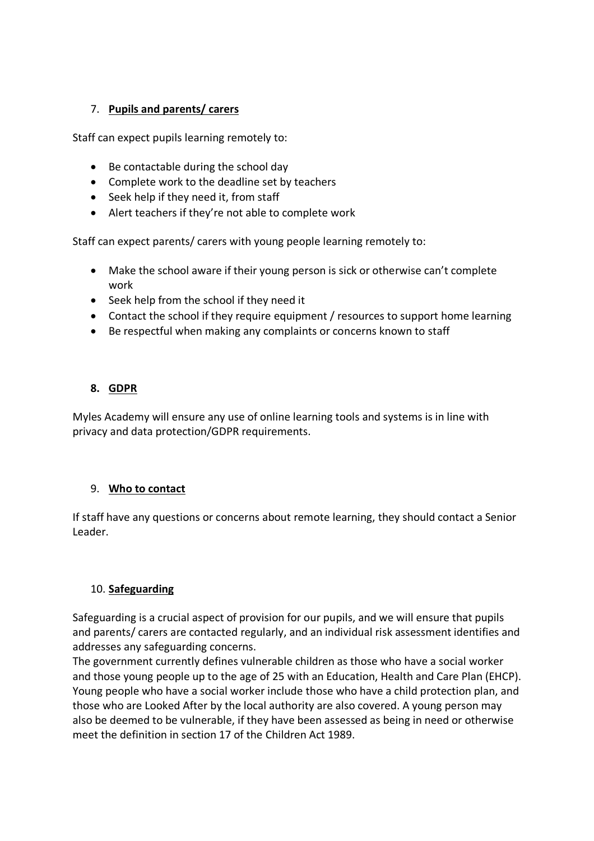#### 7. **Pupils and parents/ carers**

Staff can expect pupils learning remotely to:

- Be contactable during the school day
- Complete work to the deadline set by teachers
- Seek help if they need it, from staff
- Alert teachers if they're not able to complete work

Staff can expect parents/ carers with young people learning remotely to:

- Make the school aware if their young person is sick or otherwise can't complete work
- Seek help from the school if they need it
- Contact the school if they require equipment / resources to support home learning
- Be respectful when making any complaints or concerns known to staff

#### **8. GDPR**

Myles Academy will ensure any use of online learning tools and systems is in line with privacy and data protection/GDPR requirements.

#### 9. **Who to contact**

If staff have any questions or concerns about remote learning, they should contact a Senior Leader.

#### 10. **Safeguarding**

Safeguarding is a crucial aspect of provision for our pupils, and we will ensure that pupils and parents/ carers are contacted regularly, and an individual risk assessment identifies and addresses any safeguarding concerns.

The government currently defines vulnerable children as those who have a social worker and those young people up to the age of 25 with an Education, Health and Care Plan (EHCP). Young people who have a social worker include those who have a child protection plan, and those who are Looked After by the local authority are also covered. A young person may also be deemed to be vulnerable, if they have been assessed as being in need or otherwise meet the definition in section 17 of the Children Act 1989.